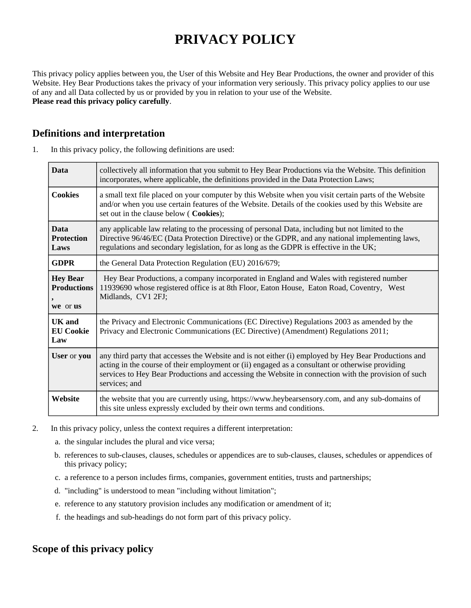# **PRIVACY POLICY**

This privacy policy applies between you, the User of this Website and Hey Bear Productions, the owner and provider of this Website. Hey Bear Productions takes the privacy of your information very seriously. This privacy policy applies to our use of any and all Data collected by us or provided by you in relation to your use of the Website. **Please read this privacy policy carefully**.

### **Definitions and interpretation**

| 1. | In this privacy policy, the following definitions are used: |  |  |  |  |
|----|-------------------------------------------------------------|--|--|--|--|
|----|-------------------------------------------------------------|--|--|--|--|

| <b>Data</b>                                       | collectively all information that you submit to Hey Bear Productions via the Website. This definition<br>incorporates, where applicable, the definitions provided in the Data Protection Laws;                                                                                                                                  |  |
|---------------------------------------------------|---------------------------------------------------------------------------------------------------------------------------------------------------------------------------------------------------------------------------------------------------------------------------------------------------------------------------------|--|
| <b>Cookies</b>                                    | a small text file placed on your computer by this Website when you visit certain parts of the Website<br>and/or when you use certain features of the Website. Details of the cookies used by this Website are<br>set out in the clause below ( Cookies);                                                                        |  |
| <b>Data</b><br><b>Protection</b><br>Laws          | any applicable law relating to the processing of personal Data, including but not limited to the<br>Directive 96/46/EC (Data Protection Directive) or the GDPR, and any national implementing laws,<br>regulations and secondary legislation, for as long as the GDPR is effective in the UK;                                   |  |
| <b>GDPR</b>                                       | the General Data Protection Regulation (EU) 2016/679;                                                                                                                                                                                                                                                                           |  |
| <b>Hey Bear</b><br><b>Productions</b><br>we or us | Hey Bear Productions, a company incorporated in England and Wales with registered number<br>11939690 whose registered office is at 8th Floor, Eaton House, Eaton Road, Coventry, West<br>Midlands, CV1 2FJ;                                                                                                                     |  |
| <b>UK</b> and<br><b>EU Cookie</b><br>Law          | the Privacy and Electronic Communications (EC Directive) Regulations 2003 as amended by the<br>Privacy and Electronic Communications (EC Directive) (Amendment) Regulations 2011;                                                                                                                                               |  |
| User or you                                       | any third party that accesses the Website and is not either (i) employed by Hey Bear Productions and<br>acting in the course of their employment or (ii) engaged as a consultant or otherwise providing<br>services to Hey Bear Productions and accessing the Website in connection with the provision of such<br>services; and |  |
| Website                                           | the website that you are currently using, https://www.heybearsensory.com, and any sub-domains of<br>this site unless expressly excluded by their own terms and conditions.                                                                                                                                                      |  |

- 2. In this privacy policy, unless the context requires a different interpretation:
	- a. the singular includes the plural and vice versa;
	- b. references to sub-clauses, clauses, schedules or appendices are to sub-clauses, clauses, schedules or appendices of this privacy policy;
	- c. a reference to a person includes firms, companies, government entities, trusts and partnerships;
	- d. "including" is understood to mean "including without limitation";
	- e. reference to any statutory provision includes any modification or amendment of it;
	- f. the headings and sub-headings do not form part of this privacy policy.

# **Scope of this privacy policy**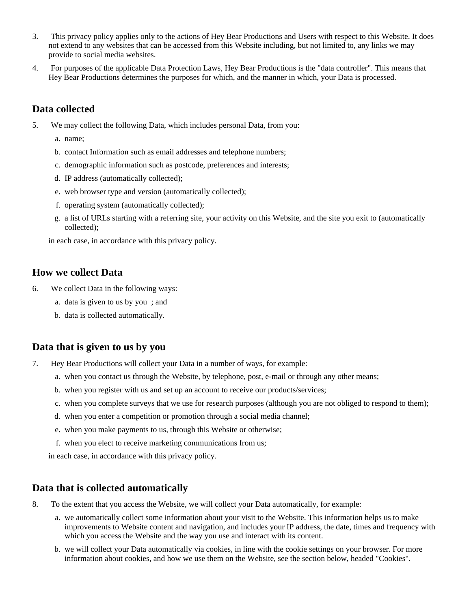- 3. This privacy policy applies only to the actions of Hey Bear Productions and Users with respect to this Website. It does not extend to any websites that can be accessed from this Website including, but not limited to, any links we may provide to social media websites.
- 4. For purposes of the applicable Data Protection Laws, Hey Bear Productions is the "data controller". This means that Hey Bear Productions determines the purposes for which, and the manner in which, your Data is processed.

## **Data collected**

- 5. We may collect the following Data, which includes personal Data, from you:
	- a. name;
	- b. contact Information such as email addresses and telephone numbers;
	- c. demographic information such as postcode, preferences and interests;
	- d. IP address (automatically collected);
	- e. web browser type and version (automatically collected);
	- f. operating system (automatically collected);
	- g. a list of URLs starting with a referring site, your activity on this Website, and the site you exit to (automatically collected);

in each case, in accordance with this privacy policy.

#### **How we collect Data**

- 6. We collect Data in the following ways:
	- a. data is given to us by you ; and
	- b. data is collected automatically.

#### **Data that is given to us by you**

- 7. Hey Bear Productions will collect your Data in a number of ways, for example:
	- a. when you contact us through the Website, by telephone, post, e-mail or through any other means;
	- b. when you register with us and set up an account to receive our products/services;
	- c. when you complete surveys that we use for research purposes (although you are not obliged to respond to them);
	- d. when you enter a competition or promotion through a social media channel;
	- e. when you make payments to us, through this Website or otherwise;
	- f. when you elect to receive marketing communications from us;

in each case, in accordance with this privacy policy.

#### **Data that is collected automatically**

- 8. To the extent that you access the Website, we will collect your Data automatically, for example:
	- a. we automatically collect some information about your visit to the Website. This information helps us to make improvements to Website content and navigation, and includes your IP address, the date, times and frequency with which you access the Website and the way you use and interact with its content.
	- b. we will collect your Data automatically via cookies, in line with the cookie settings on your browser. For more information about cookies, and how we use them on the Website, see the section below, headed "Cookies".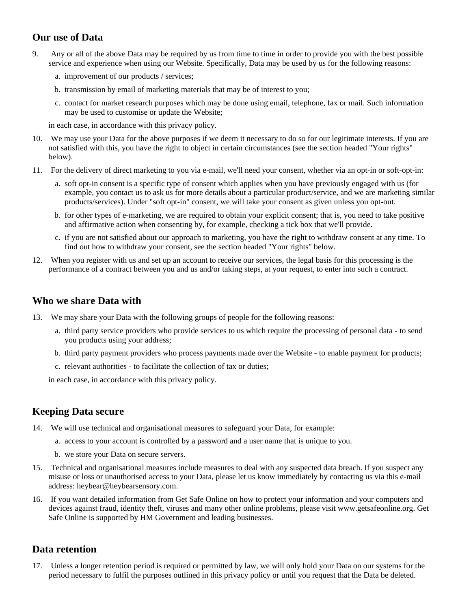# **Our use of Data**

- 9. Any or all of the above Data may be required by us from time to time in order to provide you with the best possible service and experience when using our Website. Specifically, Data may be used by us for the following reasons:
	- a. improvement of our products / services;
	- b. transmission by email of marketing materials that may be of interest to you;
	- c. contact for market research purposes which may be done using email, telephone, fax or mail. Such information may be used to customise or update the Website;

in each case, in accordance with this privacy policy.

- 10. We may use your Data for the above purposes if we deem it necessary to do so for our legitimate interests. If you are not satisfied with this, you have the right to object in certain circumstances (see the section headed "Your rights" below).
- 11. For the delivery of direct marketing to you via e-mail, we'll need your consent, whether via an opt-in or soft-opt-in:
	- a. soft opt-in consent is a specific type of consent which applies when you have previously engaged with us (for example, you contact us to ask us for more details about a particular product/service, and we are marketing similar products/services). Under "soft opt-in" consent, we will take your consent as given unless you opt-out.
	- b. for other types of e-marketing, we are required to obtain your explicit consent; that is, you need to take positive and affirmative action when consenting by, for example, checking a tick box that we'll provide.
	- c. if you are not satisfied about our approach to marketing, you have the right to withdraw consent at any time. To find out how to withdraw your consent, see the section headed "Your rights" below.
- 12. When you register with us and set up an account to receive our services, the legal basis for this processing is the performance of a contract between you and us and/or taking steps, at your request, to enter into such a contract.

#### **Who we share Data with**

- 13. We may share your Data with the following groups of people for the following reasons:
	- a. third party service providers who provide services to us which require the processing of personal data to send you products using your address;
	- b. third party payment providers who process payments made over the Website to enable payment for products;
	- c. relevant authorities to facilitate the collection of tax or duties;

in each case, in accordance with this privacy policy.

#### **Keeping Data secure**

- 14. We will use technical and organisational measures to safeguard your Data, for example:
	- a. access to your account is controlled by a password and a user name that is unique to you.
	- b. we store your Data on secure servers.
- 15. Technical and organisational measures include measures to deal with any suspected data breach. If you suspect any misuse or loss or unauthorised access to your Data, please let us know immediately by contacting us via this e-mail address: heybear@heybearsensory.com.
- 16. If you want detailed information from Get Safe Online on how to protect your information and your computers and devices against fraud, identity theft, viruses and many other online problems, please visit www.getsafeonline.org. Get Safe Online is supported by HM Government and leading businesses.

#### **Data retention**

17. Unless a longer retention period is required or permitted by law, we will only hold your Data on our systems for the period necessary to fulfil the purposes outlined in this privacy policy or until you request that the Data be deleted.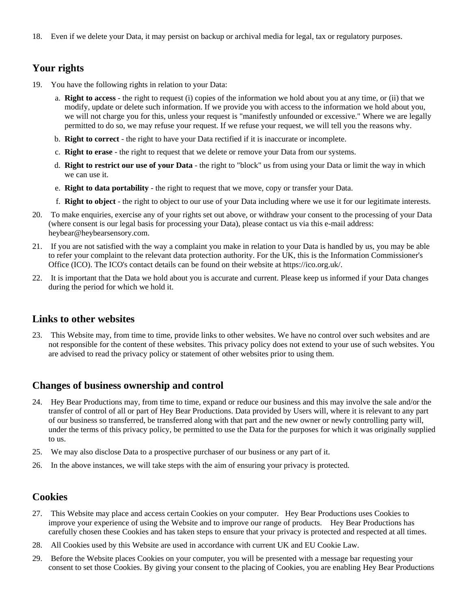18. Even if we delete your Data, it may persist on backup or archival media for legal, tax or regulatory purposes.

# **Your rights**

- 19. You have the following rights in relation to your Data:
	- a. **Right to access** the right to request (i) copies of the information we hold about you at any time, or (ii) that we modify, update or delete such information. If we provide you with access to the information we hold about you, we will not charge you for this, unless your request is "manifestly unfounded or excessive." Where we are legally permitted to do so, we may refuse your request. If we refuse your request, we will tell you the reasons why.
	- b. **Right to correct** the right to have your Data rectified if it is inaccurate or incomplete.
	- c. **Right to erase** the right to request that we delete or remove your Data from our systems.
	- d. **Right to restrict our use of your Data** the right to "block" us from using your Data or limit the way in which we can use it.
	- e. **Right to data portability** the right to request that we move, copy or transfer your Data.
	- f. **Right to object** the right to object to our use of your Data including where we use it for our legitimate interests.
- 20. To make enquiries, exercise any of your rights set out above, or withdraw your consent to the processing of your Data (where consent is our legal basis for processing your Data), please contact us via this e-mail address: heybear@heybearsensory.com.
- 21. If you are not satisfied with the way a complaint you make in relation to your Data is handled by us, you may be able to refer your complaint to the relevant data protection authority. For the UK, this is the Information Commissioner's Office (ICO). The ICO's contact details can be found on their website at https://ico.org.uk/.
- 22. It is important that the Data we hold about you is accurate and current. Please keep us informed if your Data changes during the period for which we hold it.

#### **Links to other websites**

23. This Website may, from time to time, provide links to other websites. We have no control over such websites and are not responsible for the content of these websites. This privacy policy does not extend to your use of such websites. You are advised to read the privacy policy or statement of other websites prior to using them.

#### **Changes of business ownership and control**

- 24. Hey Bear Productions may, from time to time, expand or reduce our business and this may involve the sale and/or the transfer of control of all or part of Hey Bear Productions. Data provided by Users will, where it is relevant to any part of our business so transferred, be transferred along with that part and the new owner or newly controlling party will, under the terms of this privacy policy, be permitted to use the Data for the purposes for which it was originally supplied to us.
- 25. We may also disclose Data to a prospective purchaser of our business or any part of it.
- 26. In the above instances, we will take steps with the aim of ensuring your privacy is protected.

#### **Cookies**

- 27. This Website may place and access certain Cookies on your computer. Hey Bear Productions uses Cookies to improve your experience of using the Website and to improve our range of products. Hey Bear Productions has carefully chosen these Cookies and has taken steps to ensure that your privacy is protected and respected at all times.
- 28. All Cookies used by this Website are used in accordance with current UK and EU Cookie Law.
- 29. Before the Website places Cookies on your computer, you will be presented with a message bar requesting your consent to set those Cookies. By giving your consent to the placing of Cookies, you are enabling Hey Bear Productions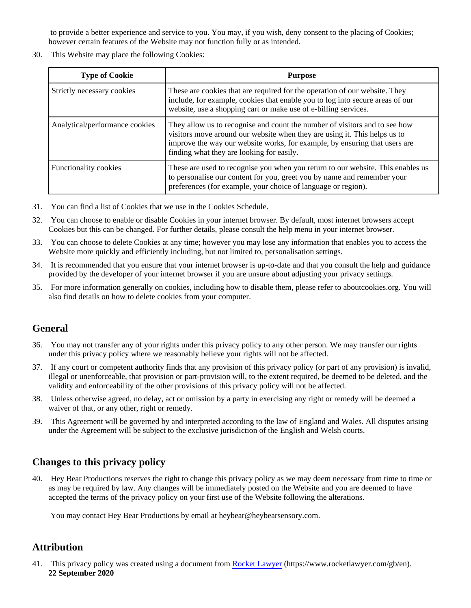to provide a better experience and service to you. You may, if you wish, deny consent to the placing of Cookies; however certain features of the Website may not function fully or as intended.

30. This Website may place the following Cookies:

| <b>Type of Cookie</b>          | <b>Purpose</b>                                                                                                                                                                                                                                                                     |
|--------------------------------|------------------------------------------------------------------------------------------------------------------------------------------------------------------------------------------------------------------------------------------------------------------------------------|
| Strictly necessary cookies     | These are cookies that are required for the operation of our website. They<br>include, for example, cookies that enable you to log into secure areas of our<br>website, use a shopping cart or make use of e-billing services.                                                     |
| Analytical/performance cookies | They allow us to recognise and count the number of visitors and to see how<br>visitors move around our website when they are using it. This helps us to<br>improve the way our website works, for example, by ensuring that users are<br>finding what they are looking for easily. |
| <b>Functionality cookies</b>   | These are used to recognise you when you return to our website. This enables us<br>to personalise our content for you, greet you by name and remember your<br>preferences (for example, your choice of language or region).                                                        |

- 31. You can find a list of Cookies that we use in the Cookies Schedule.
- 32. You can choose to enable or disable Cookies in your internet browser. By default, most internet browsers accept Cookies but this can be changed. For further details, please consult the help menu in your internet browser.
- 33. You can choose to delete Cookies at any time; however you may lose any information that enables you to access the Website more quickly and efficiently including, but not limited to, personalisation settings.
- 34. It is recommended that you ensure that your internet browser is up-to-date and that you consult the help and guidance provided by the developer of your internet browser if you are unsure about adjusting your privacy settings.
- 35. For more information generally on cookies, including how to disable them, please refer to aboutcookies.org. You will also find details on how to delete cookies from your computer.

# **General**

- 36. You may not transfer any of your rights under this privacy policy to any other person. We may transfer our rights under this privacy policy where we reasonably believe your rights will not be affected.
- 37. If any court or competent authority finds that any provision of this privacy policy (or part of any provision) is invalid, illegal or unenforceable, that provision or part-provision will, to the extent required, be deemed to be deleted, and the validity and enforceability of the other provisions of this privacy policy will not be affected.
- 38. Unless otherwise agreed, no delay, act or omission by a party in exercising any right or remedy will be deemed a waiver of that, or any other, right or remedy.
- 39. This Agreement will be governed by and interpreted according to the law of England and Wales. All disputes arising under the Agreement will be subject to the exclusive jurisdiction of the English and Welsh courts.

# **Changes to this privacy policy**

40. Hey Bear Productions reserves the right to change this privacy policy as we may deem necessary from time to time or as may be required by law. Any changes will be immediately posted on the Website and you are deemed to have accepted the terms of the privacy policy on your first use of the Website following the alterations.

You may contact Hey Bear Productions by email at heybear@heybearsensory.com.

# **Attribution**

41. This privacy policy was created using a document from [Rocket Lawyer](https://www.rocketlawyer.com/gb/en/) (https://www.rocketlawyer.com/gb/en). **22 September 2020**